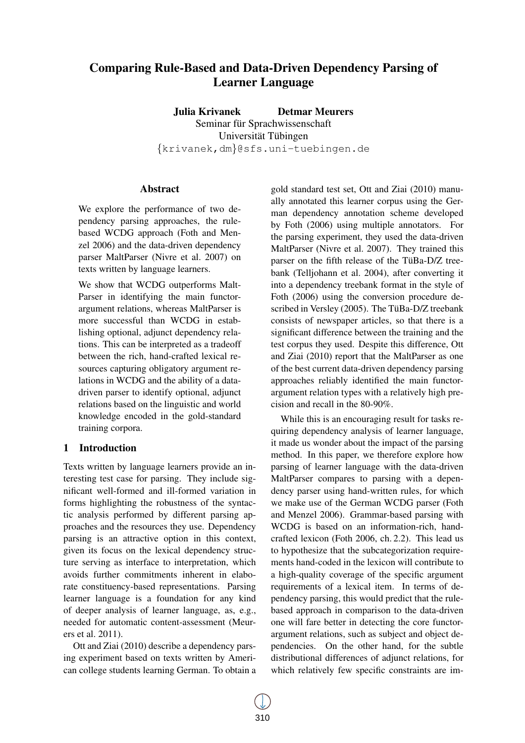# Comparing Rule-Based and Data-Driven Dependency Parsing of Learner Language

Julia Krivanek Detmar Meurers Seminar für Sprachwissenschaft Universität Tübingen {krivanek,dm}@sfs.uni-tuebingen.de

#### Abstract

We explore the performance of two dependency parsing approaches, the rulebased WCDG approach (Foth and Menzel 2006) and the data-driven dependency parser MaltParser (Nivre et al. 2007) on texts written by language learners.

We show that WCDG outperforms Malt-Parser in identifying the main functorargument relations, whereas MaltParser is more successful than WCDG in establishing optional, adjunct dependency relations. This can be interpreted as a tradeoff between the rich, hand-crafted lexical resources capturing obligatory argument relations in WCDG and the ability of a datadriven parser to identify optional, adjunct relations based on the linguistic and world knowledge encoded in the gold-standard training corpora.

## 1 Introduction

Texts written by language learners provide an interesting test case for parsing. They include significant well-formed and ill-formed variation in forms highlighting the robustness of the syntactic analysis performed by different parsing approaches and the resources they use. Dependency parsing is an attractive option in this context, given its focus on the lexical dependency structure serving as interface to interpretation, which avoids further commitments inherent in elaborate constituency-based representations. Parsing learner language is a foundation for any kind of deeper analysis of learner language, as, e.g., needed for automatic content-assessment (Meurers et al. 2011).

Ott and Ziai (2010) describe a dependency parsing experiment based on texts written by American college students learning German. To obtain a gold standard test set, Ott and Ziai (2010) manually annotated this learner corpus using the German dependency annotation scheme developed by Foth (2006) using multiple annotators. For the parsing experiment, they used the data-driven MaltParser (Nivre et al. 2007). They trained this parser on the fifth release of the TüBa-D/Z treebank (Telljohann et al. 2004), after converting it into a dependency treebank format in the style of Foth (2006) using the conversion procedure described in Versley (2005). The TüBa-D/Z treebank consists of newspaper articles, so that there is a significant difference between the training and the test corpus they used. Despite this difference, Ott and Ziai (2010) report that the MaltParser as one of the best current data-driven dependency parsing approaches reliably identified the main functorargument relation types with a relatively high precision and recall in the 80-90%.

While this is an encouraging result for tasks requiring dependency analysis of learner language, it made us wonder about the impact of the parsing method. In this paper, we therefore explore how parsing of learner language with the data-driven MaltParser compares to parsing with a dependency parser using hand-written rules, for which we make use of the German WCDG parser (Foth and Menzel 2006). Grammar-based parsing with WCDG is based on an information-rich, handcrafted lexicon (Foth 2006, ch. 2.2). This lead us to hypothesize that the subcategorization requirements hand-coded in the lexicon will contribute to a high-quality coverage of the specific argument requirements of a lexical item. In terms of dependency parsing, this would predict that the rulebased approach in comparison to the data-driven one will fare better in detecting the core functorargument relations, such as subject and object dependencies. On the other hand, for the subtle distributional differences of adjunct relations, for which relatively few specific constraints are im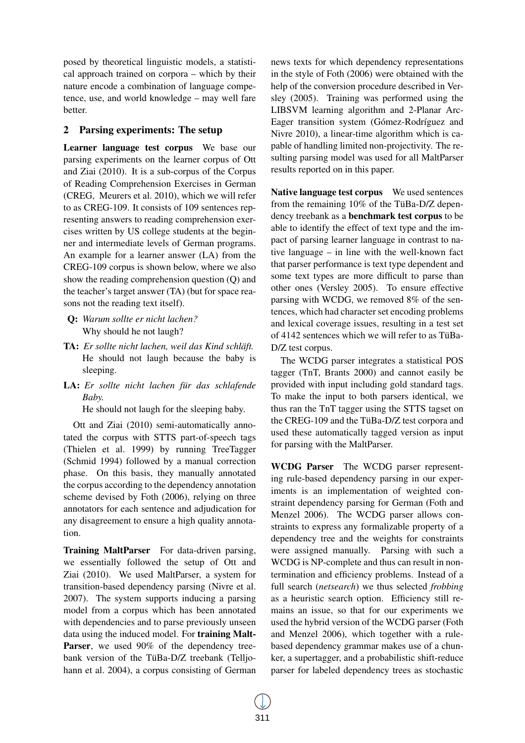posed by theoretical linguistic models, a statistical approach trained on corpora – which by their nature encode a combination of language competence, use, and world knowledge – may well fare better.

## 2 Parsing experiments: The setup

Learner language test corpus We base our parsing experiments on the learner corpus of Ott and Ziai (2010). It is a sub-corpus of the Corpus of Reading Comprehension Exercises in German (CREG, Meurers et al. 2010), which we will refer to as CREG-109. It consists of 109 sentences representing answers to reading comprehension exercises written by US college students at the beginner and intermediate levels of German programs. An example for a learner answer (LA) from the CREG-109 corpus is shown below, where we also show the reading comprehension question (Q) and the teacher's target answer (TA) (but for space reasons not the reading text itself).

- Q: *Warum sollte er nicht lachen?* Why should he not laugh?
- TA: *Er sollte nicht lachen, weil das Kind schlaft. ¨* He should not laugh because the baby is sleeping.
- LA: *Er sollte nicht lachen für das schlafende Baby.*

He should not laugh for the sleeping baby.

Ott and Ziai (2010) semi-automatically annotated the corpus with STTS part-of-speech tags (Thielen et al. 1999) by running TreeTagger (Schmid 1994) followed by a manual correction phase. On this basis, they manually annotated the corpus according to the dependency annotation scheme devised by Foth (2006), relying on three annotators for each sentence and adjudication for any disagreement to ensure a high quality annotation.

Training MaltParser For data-driven parsing, we essentially followed the setup of Ott and Ziai (2010). We used MaltParser, a system for transition-based dependency parsing (Nivre et al. 2007). The system supports inducing a parsing model from a corpus which has been annotated with dependencies and to parse previously unseen data using the induced model. For training Malt-**Parser**, we used 90% of the dependency treebank version of the TüBa-D/Z treebank (Telljohann et al. 2004), a corpus consisting of German

news texts for which dependency representations in the style of Foth (2006) were obtained with the help of the conversion procedure described in Versley (2005). Training was performed using the LIBSVM learning algorithm and 2-Planar Arc-Eager transition system (Gómez-Rodríguez and Nivre 2010), a linear-time algorithm which is capable of handling limited non-projectivity. The resulting parsing model was used for all MaltParser results reported on in this paper.

Native language test corpus We used sentences from the remaining  $10\%$  of the TüBa-D/Z dependency treebank as a benchmark test corpus to be able to identify the effect of text type and the impact of parsing learner language in contrast to native language – in line with the well-known fact that parser performance is text type dependent and some text types are more difficult to parse than other ones (Versley 2005). To ensure effective parsing with WCDG, we removed 8% of the sentences, which had character set encoding problems and lexical coverage issues, resulting in a test set of 4142 sentences which we will refer to as TüBa-D/Z test corpus.

The WCDG parser integrates a statistical POS tagger (TnT, Brants 2000) and cannot easily be provided with input including gold standard tags. To make the input to both parsers identical, we thus ran the TnT tagger using the STTS tagset on the CREG-109 and the TüBa-D/Z test corpora and used these automatically tagged version as input for parsing with the MaltParser.

WCDG Parser The WCDG parser representing rule-based dependency parsing in our experiments is an implementation of weighted constraint dependency parsing for German (Foth and Menzel 2006). The WCDG parser allows constraints to express any formalizable property of a dependency tree and the weights for constraints were assigned manually. Parsing with such a WCDG is NP-complete and thus can result in nontermination and efficiency problems. Instead of a full search (*netsearch*) we thus selected *frobbing* as a heuristic search option. Efficiency still remains an issue, so that for our experiments we used the hybrid version of the WCDG parser (Foth and Menzel 2006), which together with a rulebased dependency grammar makes use of a chunker, a supertagger, and a probabilistic shift-reduce parser for labeled dependency trees as stochastic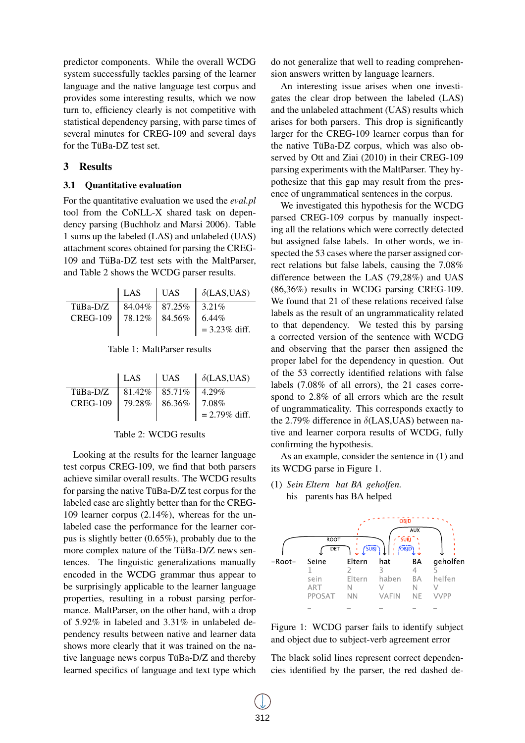predictor components. While the overall WCDG system successfully tackles parsing of the learner language and the native language test corpus and provides some interesting results, which we now turn to, efficiency clearly is not competitive with statistical dependency parsing, with parse times of several minutes for CREG-109 and several days for the TüBa-DZ test set.

#### 3 Results

#### 3.1 Quantitative evaluation

For the quantitative evaluation we used the *eval.pl* tool from the CoNLL-X shared task on dependency parsing (Buchholz and Marsi 2006). Table 1 sums up the labeled (LAS) and unlabeled (UAS) attachment scores obtained for parsing the CREG- $109$  and TüBa-DZ test sets with the MaltParser, and Table 2 shows the WCDG parser results.

|                                      | $ $ LAS | $\parallel$ UAS $\parallel$ $\delta$ (LAS,UAS) |
|--------------------------------------|---------|------------------------------------------------|
| TüBa-D/Z    84.04%   87.25%    3.21% |         |                                                |
| CREG-109 78.12% 84.56% 6.44%         |         |                                                |
|                                      |         | $\  = 3.23\%$ diff.                            |

Table 1: MaltParser results

|                                      | $\parallel$ LAS | UAS | $\parallel \delta$ (LAS,UAS) |
|--------------------------------------|-----------------|-----|------------------------------|
| TüBa-D/Z    81.42%   85.71%    4.29% |                 |     |                              |
| CREG-109 79.28% 86.36% 7.08%         |                 |     |                              |
|                                      |                 |     | $\  = 2.79\% \text{ diff.}$  |

#### Table 2: WCDG results

Looking at the results for the learner language test corpus CREG-109, we find that both parsers achieve similar overall results. The WCDG results for parsing the native TüBa-D/Z test corpus for the labeled case are slightly better than for the CREG-109 learner corpus (2.14%), whereas for the unlabeled case the performance for the learner corpus is slightly better (0.65%), probably due to the more complex nature of the TüBa-D/Z news sentences. The linguistic generalizations manually encoded in the WCDG grammar thus appear to be surprisingly applicable to the learner language properties, resulting in a robust parsing performance. MaltParser, on the other hand, with a drop of 5.92% in labeled and 3.31% in unlabeled dependency results between native and learner data shows more clearly that it was trained on the native language news corpus TüBa- $D/Z$  and thereby learned specifics of language and text type which

do not generalize that well to reading comprehension answers written by language learners.

An interesting issue arises when one investigates the clear drop between the labeled (LAS) and the unlabeled attachment (UAS) results which arises for both parsers. This drop is significantly larger for the CREG-109 learner corpus than for the native TüBa-DZ corpus, which was also observed by Ott and Ziai (2010) in their CREG-109 parsing experiments with the MaltParser. They hypothesize that this gap may result from the presence of ungrammatical sentences in the corpus.

We investigated this hypothesis for the WCDG parsed CREG-109 corpus by manually inspecting all the relations which were correctly detected but assigned false labels. In other words, we inspected the 53 cases where the parser assigned correct relations but false labels, causing the 7.08% difference between the LAS (79,28%) and UAS (86,36%) results in WCDG parsing CREG-109. We found that 21 of these relations received false labels as the result of an ungrammaticality related to that dependency. We tested this by parsing a corrected version of the sentence with WCDG and observing that the parser then assigned the proper label for the dependency in question. Out of the 53 correctly identified relations with false labels (7.08% of all errors), the 21 cases correspond to 2.8% of all errors which are the result of ungrammaticality. This corresponds exactly to the 2.79% difference in  $\delta$ (LAS,UAS) between native and learner corpora results of WCDG, fully confirming the hypothesis.

As an example, consider the sentence in (1) and its WCDG parse in Figure 1.

(1) *Sein Eltern hat BA geholfen.* his parents has BA helped



Figure 1: WCDG parser fails to identify subject and object due to subject-verb agreement error

The black solid lines represent correct dependencies identified by the parser, the red dashed de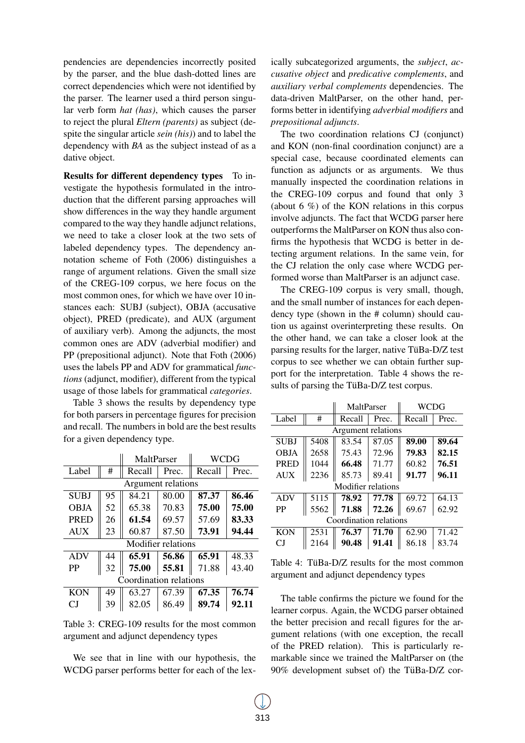pendencies are dependencies incorrectly posited by the parser, and the blue dash-dotted lines are correct dependencies which were not identified by the parser. The learner used a third person singular verb form *hat (has)*, which causes the parser to reject the plural *Eltern (parents)* as subject (despite the singular article *sein (his)*) and to label the dependency with *BA* as the subject instead of as a dative object.

Results for different dependency types To investigate the hypothesis formulated in the introduction that the different parsing approaches will show differences in the way they handle argument compared to the way they handle adjunct relations, we need to take a closer look at the two sets of labeled dependency types. The dependency annotation scheme of Foth (2006) distinguishes a range of argument relations. Given the small size of the CREG-109 corpus, we here focus on the most common ones, for which we have over 10 instances each: SUBJ (subject), OBJA (accusative object), PRED (predicate), and AUX (argument of auxiliary verb). Among the adjuncts, the most common ones are ADV (adverbial modifier) and PP (prepositional adjunct). Note that Foth (2006) uses the labels PP and ADV for grammatical *functions* (adjunct, modifier), different from the typical usage of those labels for grammatical *categories*.

Table 3 shows the results by dependency type for both parsers in percentage figures for precision and recall. The numbers in bold are the best results for a given dependency type.

|                        |                    | MaltParser |       | WCDG   |       |  |
|------------------------|--------------------|------------|-------|--------|-------|--|
| Label                  | #                  | Recall     | Prec. | Recall | Prec. |  |
|                        | Argument relations |            |       |        |       |  |
| <b>SUBJ</b>            | 95                 | 84.21      | 80.00 | 87.37  | 86.46 |  |
| <b>OBJA</b>            | 52                 | 65.38      | 70.83 | 75.00  | 75.00 |  |
| <b>PRED</b>            | 26                 | 61.54      | 69.57 | 57.69  | 83.33 |  |
| <b>AUX</b>             | 23                 | 60.87      | 87.50 | 73.91  | 94.44 |  |
| Modifier relations     |                    |            |       |        |       |  |
| <b>ADV</b>             | 44                 | 65.91      | 56.86 | 65.91  | 48.33 |  |
| <b>PP</b>              | 32                 | 75.00      | 55.81 | 71.88  | 43.40 |  |
| Coordination relations |                    |            |       |        |       |  |
| <b>KON</b>             | 49                 | 63.27      | 67.39 | 67.35  | 76.74 |  |
| СI                     | 39                 | 82.05      | 86.49 | 89.74  | 92.11 |  |

Table 3: CREG-109 results for the most common argument and adjunct dependency types

We see that in line with our hypothesis, the WCDG parser performs better for each of the lex-

ically subcategorized arguments, the *subject*, *accusative object* and *predicative complements*, and *auxiliary verbal complements* dependencies. The data-driven MaltParser, on the other hand, performs better in identifying *adverbial modifiers* and *prepositional adjuncts*.

The two coordination relations CJ (conjunct) and KON (non-final coordination conjunct) are a special case, because coordinated elements can function as adjuncts or as arguments. We thus manually inspected the coordination relations in the CREG-109 corpus and found that only 3 (about 6 %) of the KON relations in this corpus involve adjuncts. The fact that WCDG parser here outperforms the MaltParser on KON thus also confirms the hypothesis that WCDG is better in detecting argument relations. In the same vein, for the CJ relation the only case where WCDG performed worse than MaltParser is an adjunct case.

The CREG-109 corpus is very small, though, and the small number of instances for each dependency type (shown in the # column) should caution us against overinterpreting these results. On the other hand, we can take a closer look at the parsing results for the larger, native TüBa-D/Z test corpus to see whether we can obtain further support for the interpretation. Table 4 shows the results of parsing the TüBa-D/Z test corpus.

|                        |                    | MaltParser |       | WCDG   |       |  |  |
|------------------------|--------------------|------------|-------|--------|-------|--|--|
| Label                  | #                  | Recall     | Prec. | Recall | Prec. |  |  |
|                        | Argument relations |            |       |        |       |  |  |
| <b>SUBJ</b>            | 5408               | 83.54      | 87.05 | 89.00  | 89.64 |  |  |
| <b>OBJA</b>            | 2658               | 75.43      | 72.96 | 79.83  | 82.15 |  |  |
| PRED                   | 1044               | 66.48      | 71.77 | 60.82  | 76.51 |  |  |
| <b>AUX</b>             | 2236               | 85.73      | 89.41 | 91.77  | 96.11 |  |  |
| Modifier relations     |                    |            |       |        |       |  |  |
| <b>ADV</b>             | 5115               | 78.92      | 77.78 | 69.72  | 64.13 |  |  |
| PP                     | 5562               | 71.88      | 72.26 | 69.67  | 62.92 |  |  |
| Coordination relations |                    |            |       |        |       |  |  |
| <b>KON</b>             | 2531               | 76.37      | 71.70 | 62.90  | 71.42 |  |  |
| СJ                     | 2164               | 90.48      | 91.41 | 86.18  | 83.74 |  |  |

Table 4: TüBa-D/Z results for the most common argument and adjunct dependency types

The table confirms the picture we found for the learner corpus. Again, the WCDG parser obtained the better precision and recall figures for the argument relations (with one exception, the recall of the PRED relation). This is particularly remarkable since we trained the MaltParser on (the  $90\%$  development subset of) the TüBa-D/Z cor-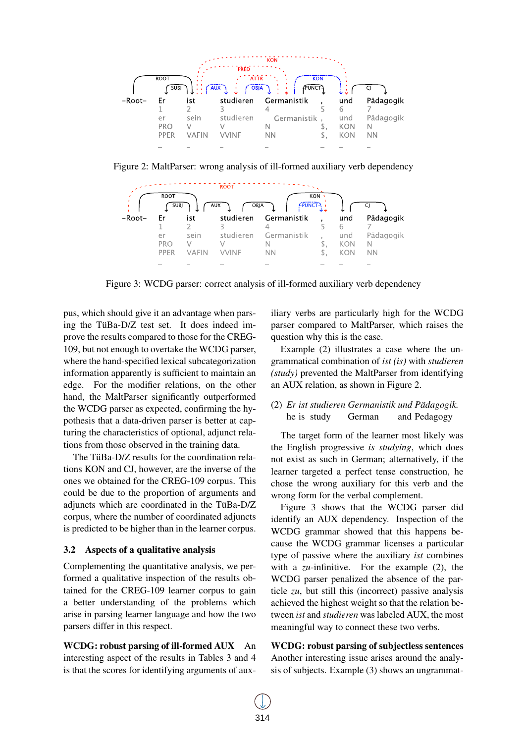

Figure 2: MaltParser: wrong analysis of ill-formed auxiliary verb dependency



Figure 3: WCDG parser: correct analysis of ill-formed auxiliary verb dependency

pus, which should give it an advantage when parsing the TüBa-D/Z test set. It does indeed improve the results compared to those for the CREG-109, but not enough to overtake the WCDG parser, where the hand-specified lexical subcategorization information apparently is sufficient to maintain an edge. For the modifier relations, on the other hand, the MaltParser significantly outperformed the WCDG parser as expected, confirming the hypothesis that a data-driven parser is better at capturing the characteristics of optional, adjunct relations from those observed in the training data.

The TüBa-D/ $Z$  results for the coordination relations KON and CJ, however, are the inverse of the ones we obtained for the CREG-109 corpus. This could be due to the proportion of arguments and adjuncts which are coordinated in the TüBa- $D/Z$ corpus, where the number of coordinated adjuncts is predicted to be higher than in the learner corpus.

## 3.2 Aspects of a qualitative analysis

Complementing the quantitative analysis, we performed a qualitative inspection of the results obtained for the CREG-109 learner corpus to gain a better understanding of the problems which arise in parsing learner language and how the two parsers differ in this respect.

WCDG: robust parsing of ill-formed AUX An interesting aspect of the results in Tables 3 and 4 is that the scores for identifying arguments of auxiliary verbs are particularly high for the WCDG parser compared to MaltParser, which raises the question why this is the case.

Example (2) illustrates a case where the ungrammatical combination of *ist (is)* with *studieren (study)* prevented the MaltParser from identifying an AUX relation, as shown in Figure 2.

#### (2) *Er ist studieren Germanistik und Padagogik. ¨* he is study German and Pedagogy

The target form of the learner most likely was the English progressive *is studying*, which does not exist as such in German; alternatively, if the learner targeted a perfect tense construction, he chose the wrong auxiliary for this verb and the wrong form for the verbal complement.

Figure 3 shows that the WCDG parser did identify an AUX dependency. Inspection of the WCDG grammar showed that this happens because the WCDG grammar licenses a particular type of passive where the auxiliary *ist* combines with a *zu*-infinitive. For the example (2), the WCDG parser penalized the absence of the particle *zu*, but still this (incorrect) passive analysis achieved the highest weight so that the relation between *ist* and *studieren* was labeled AUX, the most meaningful way to connect these two verbs.

WCDG: robust parsing of subjectless sentences Another interesting issue arises around the analysis of subjects. Example (3) shows an ungrammat-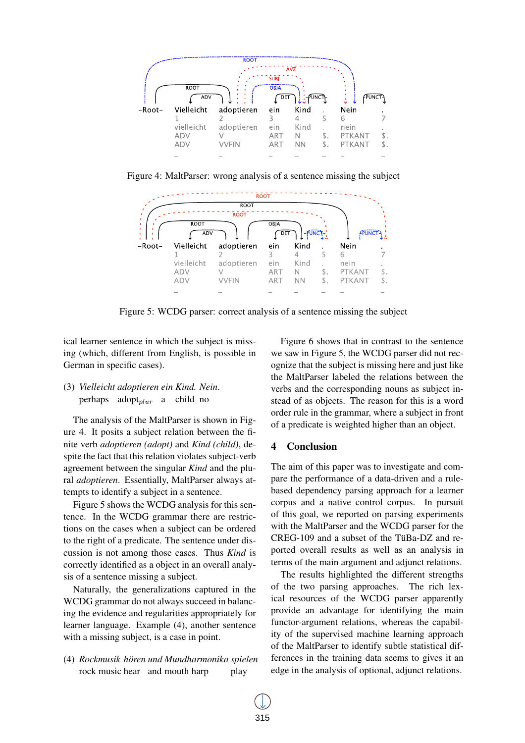

Figure 4: MaltParser: wrong analysis of a sentence missing the subject



Figure 5: WCDG parser: correct analysis of a sentence missing the subject

ical learner sentence in which the subject is missing (which, different from English, is possible in German in specific cases).

## (3) *Vielleicht adoptieren ein Kind. Nein.* perhaps adopt $_{plur}$  a child no

The analysis of the MaltParser is shown in Figure 4. It posits a subject relation between the finite verb *adoptieren (adopt)* and *Kind (child)*, despite the fact that this relation violates subject-verb agreement between the singular *Kind* and the plural *adoptieren*. Essentially, MaltParser always attempts to identify a subject in a sentence.

Figure 5 shows the WCDG analysis for this sentence. In the WCDG grammar there are restrictions on the cases when a subject can be ordered to the right of a predicate. The sentence under discussion is not among those cases. Thus *Kind* is correctly identified as a object in an overall analysis of a sentence missing a subject.

Naturally, the generalizations captured in the WCDG grammar do not always succeed in balancing the evidence and regularities appropriately for learner language. Example (4), another sentence with a missing subject, is a case in point.

(4) *Rockmusik horen ¨ und Mundharmonika spielen* rock music hear and mouth harp play

Figure 6 shows that in contrast to the sentence we saw in Figure 5, the WCDG parser did not recognize that the subject is missing here and just like the MaltParser labeled the relations between the verbs and the corresponding nouns as subject instead of as objects. The reason for this is a word order rule in the grammar, where a subject in front of a predicate is weighted higher than an object.

## 4 Conclusion

The aim of this paper was to investigate and compare the performance of a data-driven and a rulebased dependency parsing approach for a learner corpus and a native control corpus. In pursuit of this goal, we reported on parsing experiments with the MaltParser and the WCDG parser for the  $CREG-109$  and a subset of the TüBa-DZ and reported overall results as well as an analysis in terms of the main argument and adjunct relations.

The results highlighted the different strengths of the two parsing approaches. The rich lexical resources of the WCDG parser apparently provide an advantage for identifying the main functor-argument relations, whereas the capability of the supervised machine learning approach of the MaltParser to identify subtle statistical differences in the training data seems to gives it an edge in the analysis of optional, adjunct relations.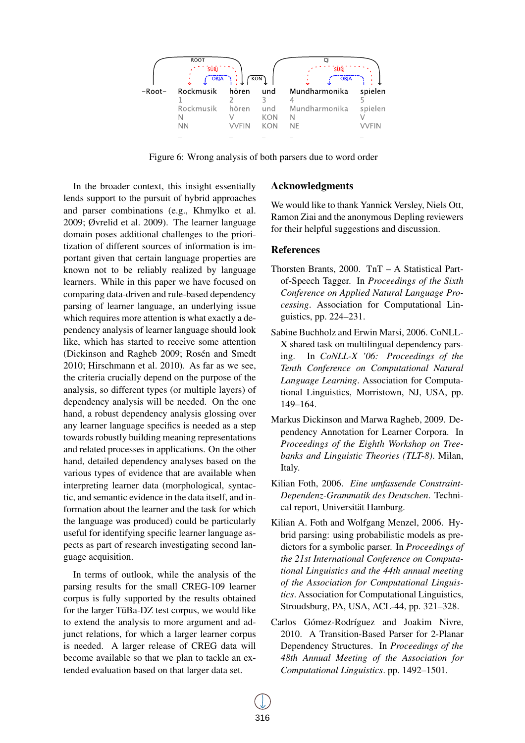

Figure 6: Wrong analysis of both parsers due to word order

In the broader context, this insight essentially lends support to the pursuit of hybrid approaches and parser combinations (e.g., Khmylko et al. 2009; Øvrelid et al. 2009). The learner language domain poses additional challenges to the prioritization of different sources of information is important given that certain language properties are known not to be reliably realized by language learners. While in this paper we have focused on comparing data-driven and rule-based dependency parsing of learner language, an underlying issue which requires more attention is what exactly a dependency analysis of learner language should look like, which has started to receive some attention (Dickinson and Ragheb 2009; Rosén and Smedt 2010; Hirschmann et al. 2010). As far as we see, the criteria crucially depend on the purpose of the analysis, so different types (or multiple layers) of dependency analysis will be needed. On the one hand, a robust dependency analysis glossing over any learner language specifics is needed as a step towards robustly building meaning representations and related processes in applications. On the other hand, detailed dependency analyses based on the various types of evidence that are available when interpreting learner data (morphological, syntactic, and semantic evidence in the data itself, and information about the learner and the task for which the language was produced) could be particularly useful for identifying specific learner language aspects as part of research investigating second language acquisition.

In terms of outlook, while the analysis of the parsing results for the small CREG-109 learner corpus is fully supported by the results obtained for the larger TüBa-DZ test corpus, we would like to extend the analysis to more argument and adjunct relations, for which a larger learner corpus is needed. A larger release of CREG data will become available so that we plan to tackle an extended evaluation based on that larger data set.

#### Acknowledgments

We would like to thank Yannick Versley, Niels Ott, Ramon Ziai and the anonymous Depling reviewers for their helpful suggestions and discussion.

## **References**

- Thorsten Brants, 2000. TnT A Statistical Partof-Speech Tagger. In *Proceedings of the Sixth Conference on Applied Natural Language Processing*. Association for Computational Linguistics, pp. 224–231.
- Sabine Buchholz and Erwin Marsi, 2006. CoNLL-X shared task on multilingual dependency parsing. In *CoNLL-X '06: Proceedings of the Tenth Conference on Computational Natural Language Learning*. Association for Computational Linguistics, Morristown, NJ, USA, pp. 149–164.
- Markus Dickinson and Marwa Ragheb, 2009. Dependency Annotation for Learner Corpora. In *Proceedings of the Eighth Workshop on Treebanks and Linguistic Theories (TLT-8)*. Milan, Italy.
- Kilian Foth, 2006. *Eine umfassende Constraint-Dependenz-Grammatik des Deutschen*. Technical report, Universität Hamburg.
- Kilian A. Foth and Wolfgang Menzel, 2006. Hybrid parsing: using probabilistic models as predictors for a symbolic parser. In *Proceedings of the 21st International Conference on Computational Linguistics and the 44th annual meeting of the Association for Computational Linguistics*. Association for Computational Linguistics, Stroudsburg, PA, USA, ACL-44, pp. 321–328.
- Carlos Gómez-Rodríguez and Joakim Nivre, 2010. A Transition-Based Parser for 2-Planar Dependency Structures. In *Proceedings of the 48th Annual Meeting of the Association for Computational Linguistics*. pp. 1492–1501.